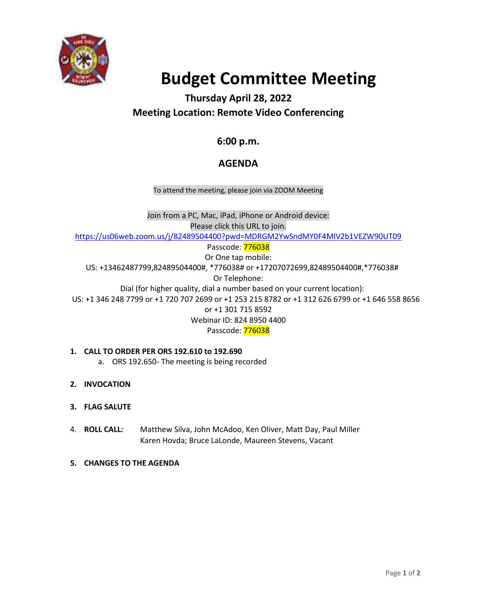

# **Budget Committee Meeting**

# **Thursday April 28, 2022 Meeting Location: Remote Video Conferencing**

## **6:00 p.m.**

### **AGENDA**

To attend the meeting, please join via ZOOM Meeting

Join from a PC, Mac, iPad, iPhone or Android device: Please click this URL to join. <https://us06web.zoom.us/j/82489504400?pwd=MDRGM2YwSndMY0F4MlV2b1VEZW90UT09> Passcode: 776038 Or One tap mobile: US: +13462487799,82489504400#, \*776038# or +17207072699,82489504400#,\*776038# Or Telephone: Dial (for higher quality, dial a number based on your current location): US: +1 346 248 7799 or +1 720 707 2699 or +1 253 215 8782 or +1 312 626 6799 or +1 646 558 8656 or +1 301 715 8592 Webinar ID: 824 8950 4400 Passcode: 776038

#### **1. CALL TO ORDER PER ORS 192.610 to 192.690** a. ORS 192.650- The meeting is being recorded

- **2. INVOCATION**
- **3. FLAG SALUTE**
- 4. **ROLL CALL***:* Matthew Silva, John McAdoo, Ken Oliver, Matt Day, Paul Miller Karen Hovda; Bruce LaLonde, Maureen Stevens, Vacant
- **5. CHANGES TO THE AGENDA**